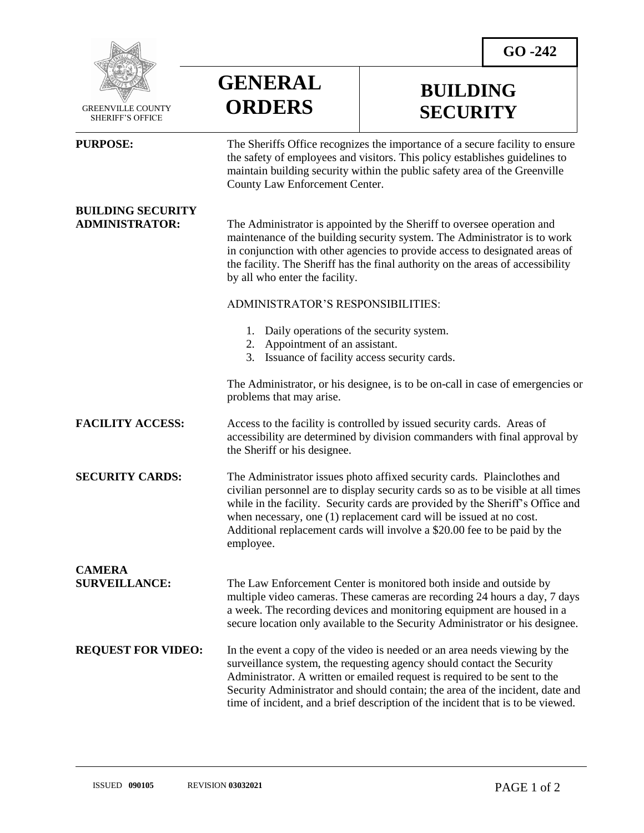**BUILDING** 

**SECURITY**



 GREENVILLE COUNTY SHERIFF'S OFFICE

**BUILDING SECURITY**

 $\overline{a}$ 

**PURPOSE:** The Sheriffs Office recognizes the importance of a secure facility to ensure the safety of employees and visitors. This policy establishes guidelines to maintain building security within the public safety area of the Greenville County Law Enforcement Center.

**ADMINISTRATOR:** The Administrator is appointed by the Sheriff to oversee operation and maintenance of the building security system. The Administrator is to work in conjunction with other agencies to provide access to designated areas of the facility. The Sheriff has the final authority on the areas of accessibility by all who enter the facility.

**GENERAL**

**ORDERS**

## ADMINISTRATOR'S RESPONSIBILITIES:

- 1. Daily operations of the security system.
- 2. Appointment of an assistant.
- 3. Issuance of facility access security cards.

The Administrator, or his designee, is to be on-call in case of emergencies or problems that may arise.

**FACILITY ACCESS:** Access to the facility is controlled by issued security cards. Areas of accessibility are determined by division commanders with final approval by the Sheriff or his designee.

**SECURITY CARDS:** The Administrator issues photo affixed security cards. Plainclothes and civilian personnel are to display security cards so as to be visible at all times while in the facility. Security cards are provided by the Sheriff's Office and when necessary, one (1) replacement card will be issued at no cost. Additional replacement cards will involve a \$20.00 fee to be paid by the employee.

**CAMERA** 

**SURVEILLANCE:** The Law Enforcement Center is monitored both inside and outside by multiple video cameras. These cameras are recording 24 hours a day, 7 days a week. The recording devices and monitoring equipment are housed in a secure location only available to the Security Administrator or his designee.

**REQUEST FOR VIDEO:** In the event a copy of the video is needed or an area needs viewing by the surveillance system, the requesting agency should contact the Security Administrator. A written or emailed request is required to be sent to the Security Administrator and should contain; the area of the incident, date and time of incident, and a brief description of the incident that is to be viewed.